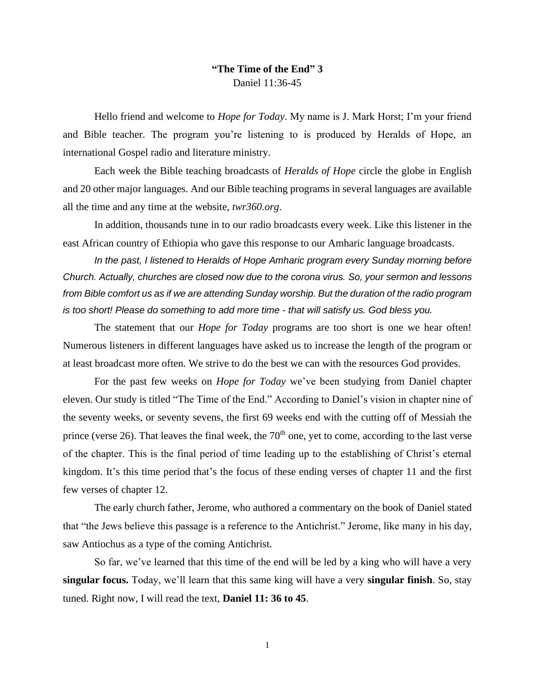## **"The Time of the End" 3** Daniel 11:36-45

Hello friend and welcome to *Hope for Today*. My name is J. Mark Horst; I'm your friend and Bible teacher. The program you're listening to is produced by Heralds of Hope, an international Gospel radio and literature ministry.

Each week the Bible teaching broadcasts of *Heralds of Hope* circle the globe in English and 20 other major languages. And our Bible teaching programs in several languages are available all the time and any time at the website, *twr36[0.org](http://www.heraldsofhope.org/)*.

In addition, thousands tune in to our radio broadcasts every week. Like this listener in the east African country of Ethiopia who gave this response to our Amharic language broadcasts.

*In the past, I listened to Heralds of Hope Amharic program every Sunday morning before Church. Actually, churches are closed now due to the corona virus. So, your sermon and lessons from Bible comfort us as if we are attending Sunday worship. But the duration of the radio program is too short! Please do something to add more time - that will satisfy us. God bless you.*

The statement that our *Hope for Today* programs are too short is one we hear often! Numerous listeners in different languages have asked us to increase the length of the program or at least broadcast more often. We strive to do the best we can with the resources God provides.

For the past few weeks on *Hope for Today* we've been studying from Daniel chapter eleven. Our study is titled "The Time of the End." According to Daniel's vision in chapter nine of the seventy weeks, or seventy sevens, the first 69 weeks end with the cutting off of Messiah the prince (verse 26). That leaves the final week, the  $70<sup>th</sup>$  one, yet to come, according to the last verse of the chapter. This is the final period of time leading up to the establishing of Christ's eternal kingdom. It's this time period that's the focus of these ending verses of chapter 11 and the first few verses of chapter 12.

The early church father, Jerome, who authored a commentary on the book of Daniel stated that "the Jews believe this passage is a reference to the Antichrist." Jerome, like many in his day, saw Antiochus as a type of the coming Antichrist.

So far, we've learned that this time of the end will be led by a king who will have a very **singular focus.** Today, we'll learn that this same king will have a very **singular finish**. So, stay tuned. Right now, I will read the text, **Daniel 11: 36 to 45**.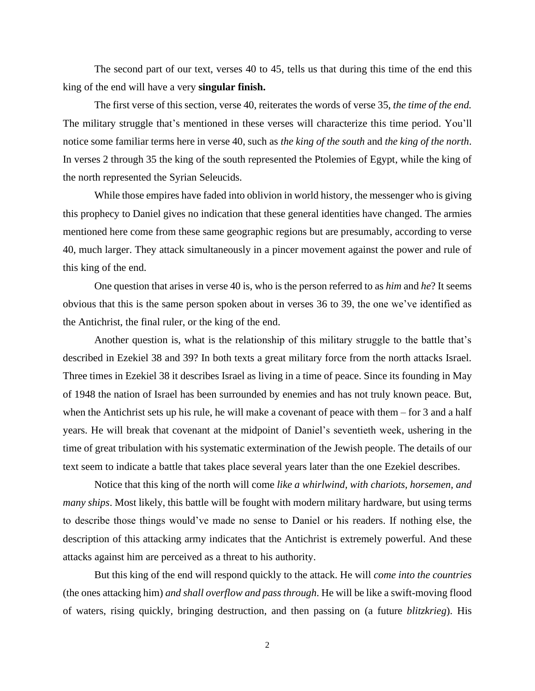The second part of our text, verses 40 to 45, tells us that during this time of the end this king of the end will have a very **singular finish.**

The first verse of this section, verse 40, reiterates the words of verse 35, *the time of the end.* The military struggle that's mentioned in these verses will characterize this time period. You'll notice some familiar terms here in verse 40, such as *the king of the south* and *the king of the north*. In verses 2 through 35 the king of the south represented the Ptolemies of Egypt, while the king of the north represented the Syrian Seleucids.

While those empires have faded into oblivion in world history, the messenger who is giving this prophecy to Daniel gives no indication that these general identities have changed. The armies mentioned here come from these same geographic regions but are presumably, according to verse 40, much larger. They attack simultaneously in a pincer movement against the power and rule of this king of the end.

One question that arises in verse 40 is, who is the person referred to as *him* and *he*? It seems obvious that this is the same person spoken about in verses 36 to 39, the one we've identified as the Antichrist, the final ruler, or the king of the end.

Another question is, what is the relationship of this military struggle to the battle that's described in Ezekiel 38 and 39? In both texts a great military force from the north attacks Israel. Three times in Ezekiel 38 it describes Israel as living in a time of peace. Since its founding in May of 1948 the nation of Israel has been surrounded by enemies and has not truly known peace. But, when the Antichrist sets up his rule, he will make a covenant of peace with them – for 3 and a half years. He will break that covenant at the midpoint of Daniel's seventieth week, ushering in the time of great tribulation with his systematic extermination of the Jewish people. The details of our text seem to indicate a battle that takes place several years later than the one Ezekiel describes.

Notice that this king of the north will come *like a whirlwind, with chariots, horsemen, and many ships*. Most likely, this battle will be fought with modern military hardware, but using terms to describe those things would've made no sense to Daniel or his readers. If nothing else, the description of this attacking army indicates that the Antichrist is extremely powerful. And these attacks against him are perceived as a threat to his authority.

But this king of the end will respond quickly to the attack. He will *come into the countries*  (the ones attacking him) *and shall overflow and pass through*. He will be like a swift-moving flood of waters, rising quickly, bringing destruction, and then passing on (a future *blitzkrieg*). His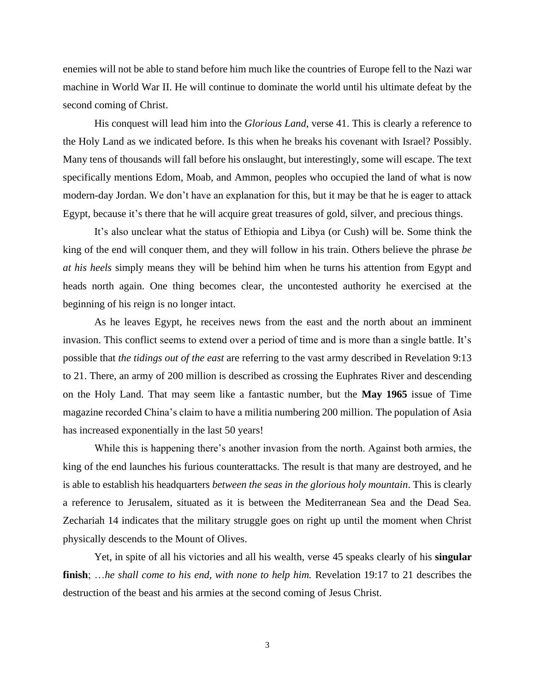enemies will not be able to stand before him much like the countries of Europe fell to the Nazi war machine in World War II. He will continue to dominate the world until his ultimate defeat by the second coming of Christ.

His conquest will lead him into the *Glorious Land*, verse 41. This is clearly a reference to the Holy Land as we indicated before. Is this when he breaks his covenant with Israel? Possibly. Many tens of thousands will fall before his onslaught, but interestingly, some will escape. The text specifically mentions Edom, Moab, and Ammon, peoples who occupied the land of what is now modern-day Jordan. We don't have an explanation for this, but it may be that he is eager to attack Egypt, because it's there that he will acquire great treasures of gold, silver, and precious things.

It's also unclear what the status of Ethiopia and Libya (or Cush) will be. Some think the king of the end will conquer them, and they will follow in his train. Others believe the phrase *be at his heels* simply means they will be behind him when he turns his attention from Egypt and heads north again. One thing becomes clear, the uncontested authority he exercised at the beginning of his reign is no longer intact.

As he leaves Egypt, he receives news from the east and the north about an imminent invasion. This conflict seems to extend over a period of time and is more than a single battle. It's possible that *the tidings out of the east* are referring to the vast army described in Revelation 9:13 to 21. There, an army of 200 million is described as crossing the Euphrates River and descending on the Holy Land. That may seem like a fantastic number, but the **May 1965** issue of Time magazine recorded China's claim to have a militia numbering 200 million. The population of Asia has increased exponentially in the last 50 years!

While this is happening there's another invasion from the north. Against both armies, the king of the end launches his furious counterattacks. The result is that many are destroyed, and he is able to establish his headquarters *between the seas in the glorious holy mountain*. This is clearly a reference to Jerusalem, situated as it is between the Mediterranean Sea and the Dead Sea. Zechariah 14 indicates that the military struggle goes on right up until the moment when Christ physically descends to the Mount of Olives.

Yet, in spite of all his victories and all his wealth, verse 45 speaks clearly of his **singular finish**; …*he shall come to his end, with none to help him.* Revelation 19:17 to 21 describes the destruction of the beast and his armies at the second coming of Jesus Christ.